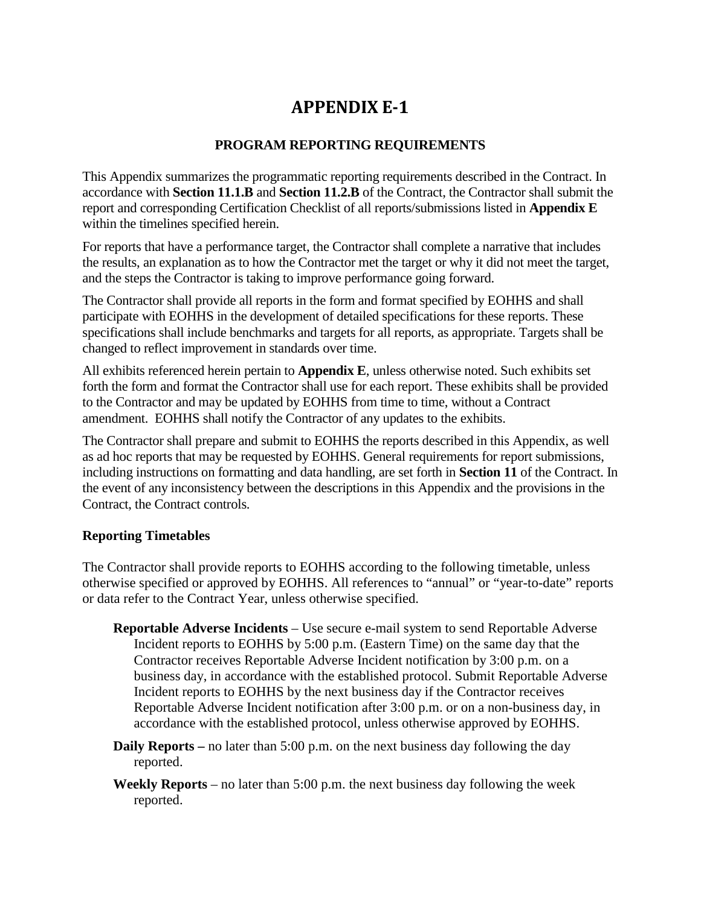# **APPENDIX E-1**

# **PROGRAM REPORTING REQUIREMENTS**

This Appendix summarizes the programmatic reporting requirements described in the Contract. In accordance with **Section 11.1.B** and **Section 11.2.B** of the Contract, the Contractor shall submit the report and corresponding Certification Checklist of all reports/submissions listed in **Appendix E** within the timelines specified herein.

For reports that have a performance target, the Contractor shall complete a narrative that includes the results, an explanation as to how the Contractor met the target or why it did not meet the target, and the steps the Contractor is taking to improve performance going forward.

The Contractor shall provide all reports in the form and format specified by EOHHS and shall participate with EOHHS in the development of detailed specifications for these reports. These specifications shall include benchmarks and targets for all reports, as appropriate. Targets shall be changed to reflect improvement in standards over time.

All exhibits referenced herein pertain to **Appendix E**, unless otherwise noted. Such exhibits set forth the form and format the Contractor shall use for each report. These exhibits shall be provided to the Contractor and may be updated by EOHHS from time to time, without a Contract amendment. EOHHS shall notify the Contractor of any updates to the exhibits.

The Contractor shall prepare and submit to EOHHS the reports described in this Appendix, as well as ad hoc reports that may be requested by EOHHS. General requirements for report submissions, including instructions on formatting and data handling, are set forth in **Section 11** of the Contract. In the event of any inconsistency between the descriptions in this Appendix and the provisions in the Contract, the Contract controls.

### **Reporting Timetables**

The Contractor shall provide reports to EOHHS according to the following timetable, unless otherwise specified or approved by EOHHS. All references to "annual" or "year-to-date" reports or data refer to the Contract Year, unless otherwise specified.

- **Reportable Adverse Incidents** Use secure e-mail system to send Reportable Adverse Incident reports to EOHHS by 5:00 p.m. (Eastern Time) on the same day that the Contractor receives Reportable Adverse Incident notification by 3:00 p.m. on a business day, in accordance with the established protocol. Submit Reportable Adverse Incident reports to EOHHS by the next business day if the Contractor receives Reportable Adverse Incident notification after 3:00 p.m. or on a non-business day, in accordance with the established protocol, unless otherwise approved by EOHHS.
- **Daily Reports** no later than 5:00 p.m. on the next business day following the day reported.
- **Weekly Reports** no later than 5:00 p.m. the next business day following the week reported.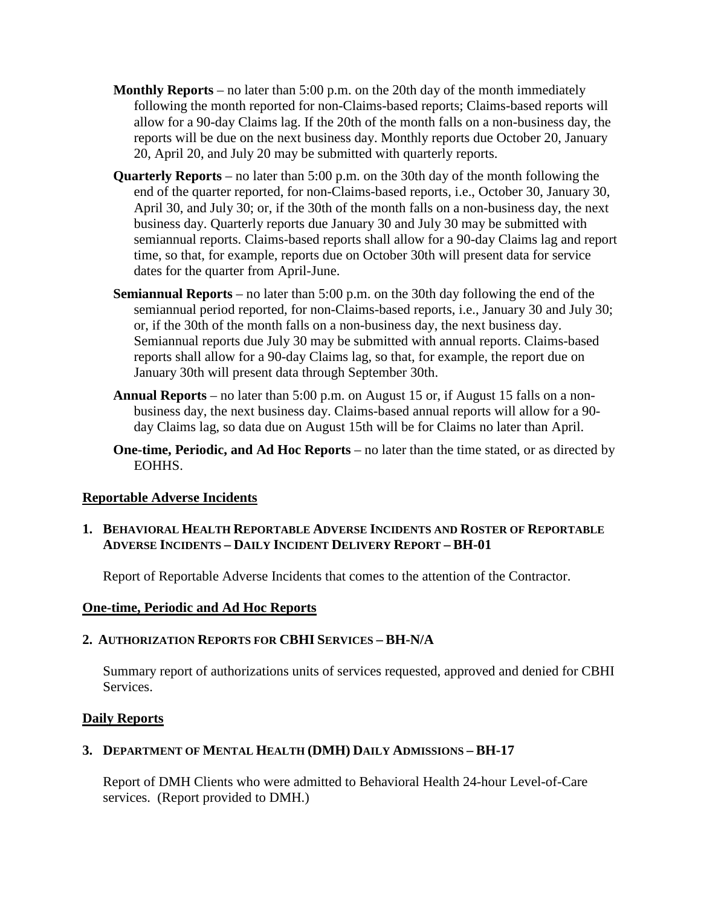- **Monthly Reports** no later than 5:00 p.m. on the 20th day of the month immediately following the month reported for non-Claims-based reports; Claims-based reports will allow for a 90-day Claims lag. If the 20th of the month falls on a non-business day, the reports will be due on the next business day. Monthly reports due October 20, January 20, April 20, and July 20 may be submitted with quarterly reports.
- **Quarterly Reports** no later than 5:00 p.m. on the 30th day of the month following the end of the quarter reported, for non-Claims-based reports, i.e., October 30, January 30, April 30, and July 30; or, if the 30th of the month falls on a non-business day, the next business day. Quarterly reports due January 30 and July 30 may be submitted with semiannual reports. Claims-based reports shall allow for a 90-day Claims lag and report time, so that, for example, reports due on October 30th will present data for service dates for the quarter from April-June.
- **Semiannual Reports** no later than 5:00 p.m. on the 30th day following the end of the semiannual period reported, for non-Claims-based reports, i.e., January 30 and July 30; or, if the 30th of the month falls on a non-business day, the next business day. Semiannual reports due July 30 may be submitted with annual reports. Claims-based reports shall allow for a 90-day Claims lag, so that, for example, the report due on January 30th will present data through September 30th.
- **Annual Reports** no later than 5:00 p.m. on August 15 or, if August 15 falls on a nonbusiness day, the next business day. Claims-based annual reports will allow for a 90 day Claims lag, so data due on August 15th will be for Claims no later than April.
- **One-time, Periodic, and Ad Hoc Reports** no later than the time stated, or as directed by EOHHS.

### **Reportable Adverse Incidents**

# **1. BEHAVIORAL HEALTH REPORTABLE ADVERSE INCIDENTS AND ROSTER OF REPORTABLE ADVERSE INCIDENTS – DAILY INCIDENT DELIVERY REPORT – BH-01**

Report of Reportable Adverse Incidents that comes to the attention of the Contractor.

### **One-time, Periodic and Ad Hoc Reports**

### **2. AUTHORIZATION REPORTS FOR CBHI SERVICES – BH-N/A**

Summary report of authorizations units of services requested, approved and denied for CBHI Services.

### **Daily Reports**

### **3. DEPARTMENT OF MENTAL HEALTH (DMH) DAILY ADMISSIONS – BH-17**

Report of DMH Clients who were admitted to Behavioral Health 24-hour Level-of-Care services. (Report provided to DMH.)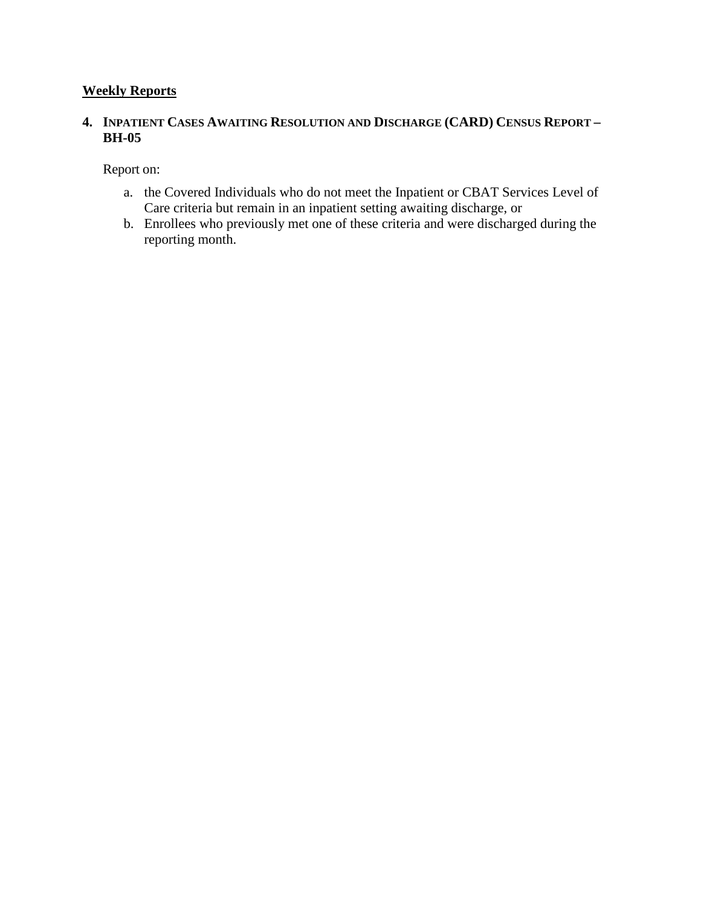# **Weekly Reports**

# **4. INPATIENT CASES AWAITING RESOLUTION AND DISCHARGE (CARD) CENSUS REPORT – BH-05**

Report on:

- a. the Covered Individuals who do not meet the Inpatient or CBAT Services Level of Care criteria but remain in an inpatient setting awaiting discharge, or
- b. Enrollees who previously met one of these criteria and were discharged during the reporting month.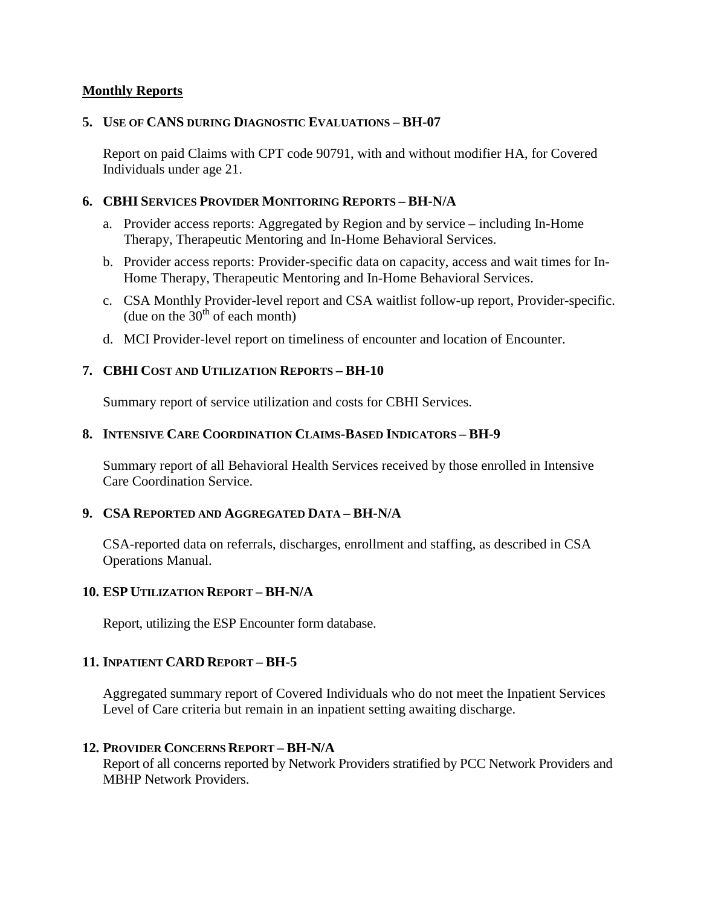# **Monthly Reports**

### **5. USE OF CANS DURING DIAGNOSTIC EVALUATIONS – BH-07**

Report on paid Claims with CPT code 90791, with and without modifier HA, for Covered Individuals under age 21.

# **6. CBHI SERVICES PROVIDER MONITORING REPORTS – BH-N/A**

- a. Provider access reports: Aggregated by Region and by service including In-Home Therapy, Therapeutic Mentoring and In-Home Behavioral Services.
- b. Provider access reports: Provider-specific data on capacity, access and wait times for In-Home Therapy, Therapeutic Mentoring and In-Home Behavioral Services.
- c. CSA Monthly Provider-level report and CSA waitlist follow-up report, Provider-specific. (due on the  $30<sup>th</sup>$  of each month)
- d. MCI Provider-level report on timeliness of encounter and location of Encounter.

# **7. CBHI COST AND UTILIZATION REPORTS – BH-10**

Summary report of service utilization and costs for CBHI Services.

# **8. INTENSIVE CARE COORDINATION CLAIMS-BASED INDICATORS – BH-9**

Summary report of all Behavioral Health Services received by those enrolled in Intensive Care Coordination Service.

### **9. CSA REPORTED AND AGGREGATED DATA – BH-N/A**

CSA-reported data on referrals, discharges, enrollment and staffing, as described in CSA Operations Manual.

### **10. ESP UTILIZATION REPORT – BH-N/A**

Report, utilizing the ESP Encounter form database.

# **11. INPATIENT CARD REPORT – BH-5**

Aggregated summary report of Covered Individuals who do not meet the Inpatient Services Level of Care criteria but remain in an inpatient setting awaiting discharge.

### **12. PROVIDER CONCERNS REPORT – BH-N/A**

Report of all concerns reported by Network Providers stratified by PCC Network Providers and MBHP Network Providers.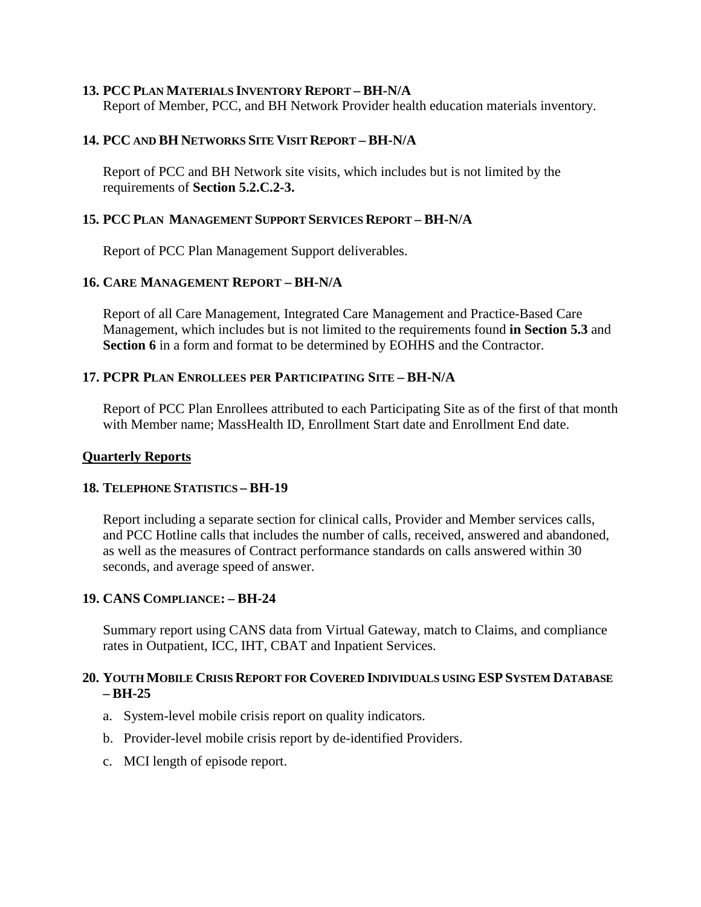#### **13. PCC PLAN MATERIALS INVENTORY REPORT – BH-N/A**

Report of Member, PCC, and BH Network Provider health education materials inventory.

## **14. PCC AND BH NETWORKS SITE VISIT REPORT – BH-N/A**

Report of PCC and BH Network site visits, which includes but is not limited by the requirements of **Section 5.2.C.2-3.** 

#### **15. PCC PLAN MANAGEMENT SUPPORT SERVICES REPORT – BH-N/A**

Report of PCC Plan Management Support deliverables.

#### **16. CARE MANAGEMENT REPORT – BH-N/A**

Report of all Care Management, Integrated Care Management and Practice-Based Care Management, which includes but is not limited to the requirements found **in Section 5.3** and **Section 6** in a form and format to be determined by EOHHS and the Contractor.

## **17. PCPR PLAN ENROLLEES PER PARTICIPATING SITE – BH-N/A**

Report of PCC Plan Enrollees attributed to each Participating Site as of the first of that month with Member name; MassHealth ID, Enrollment Start date and Enrollment End date.

#### **Quarterly Reports**

#### **18. TELEPHONE STATISTICS – BH-19**

Report including a separate section for clinical calls, Provider and Member services calls, and PCC Hotline calls that includes the number of calls, received, answered and abandoned, as well as the measures of Contract performance standards on calls answered within 30 seconds, and average speed of answer.

### **19. CANS COMPLIANCE: – BH-24**

Summary report using CANS data from Virtual Gateway, match to Claims, and compliance rates in Outpatient, ICC, IHT, CBAT and Inpatient Services.

### **20. YOUTH MOBILE CRISIS REPORT FOR COVERED INDIVIDUALS USING ESP SYSTEM DATABASE – BH-25**

- a. System-level mobile crisis report on quality indicators.
- b. Provider-level mobile crisis report by de-identified Providers.
- c. MCI length of episode report.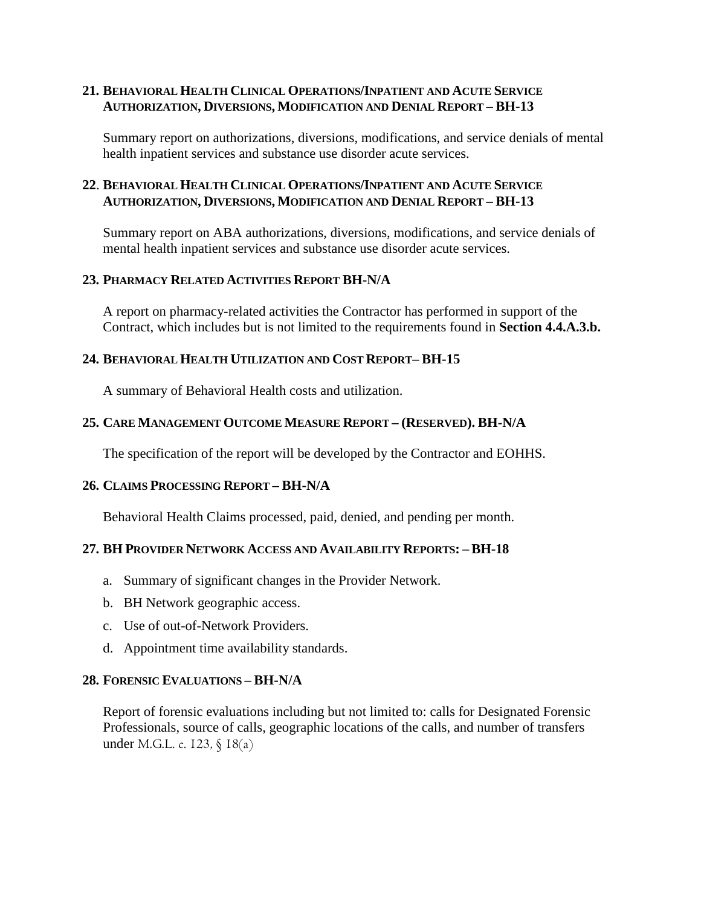## **21. BEHAVIORAL HEALTH CLINICAL OPERATIONS/INPATIENT AND ACUTE SERVICE AUTHORIZATION, DIVERSIONS, MODIFICATION AND DENIAL REPORT – BH-13**

Summary report on authorizations, diversions, modifications, and service denials of mental health inpatient services and substance use disorder acute services.

# **22**. **BEHAVIORAL HEALTH CLINICAL OPERATIONS/INPATIENT AND ACUTE SERVICE AUTHORIZATION, DIVERSIONS, MODIFICATION AND DENIAL REPORT – BH-13**

Summary report on ABA authorizations, diversions, modifications, and service denials of mental health inpatient services and substance use disorder acute services.

# **23. PHARMACY RELATED ACTIVITIES REPORT BH-N/A**

A report on pharmacy-related activities the Contractor has performed in support of the Contract, which includes but is not limited to the requirements found in **Section 4.4.A.3.b.**

### **24. BEHAVIORAL HEALTH UTILIZATION AND COST REPORT– BH-15**

A summary of Behavioral Health costs and utilization.

### **25. CARE MANAGEMENT OUTCOME MEASURE REPORT – (RESERVED). BH-N/A**

The specification of the report will be developed by the Contractor and EOHHS.

### **26. CLAIMS PROCESSING REPORT – BH-N/A**

Behavioral Health Claims processed, paid, denied, and pending per month.

#### **27. BH PROVIDER NETWORK ACCESS AND AVAILABILITY REPORTS: – BH-18**

- a. Summary of significant changes in the Provider Network.
- b. BH Network geographic access.
- c. Use of out-of-Network Providers.
- d. Appointment time availability standards.

#### **28. FORENSIC EVALUATIONS – BH-N/A**

Report of forensic evaluations including but not limited to: calls for Designated Forensic Professionals, source of calls, geographic locations of the calls, and number of transfers under M.G.L. c. 123, § 18(a)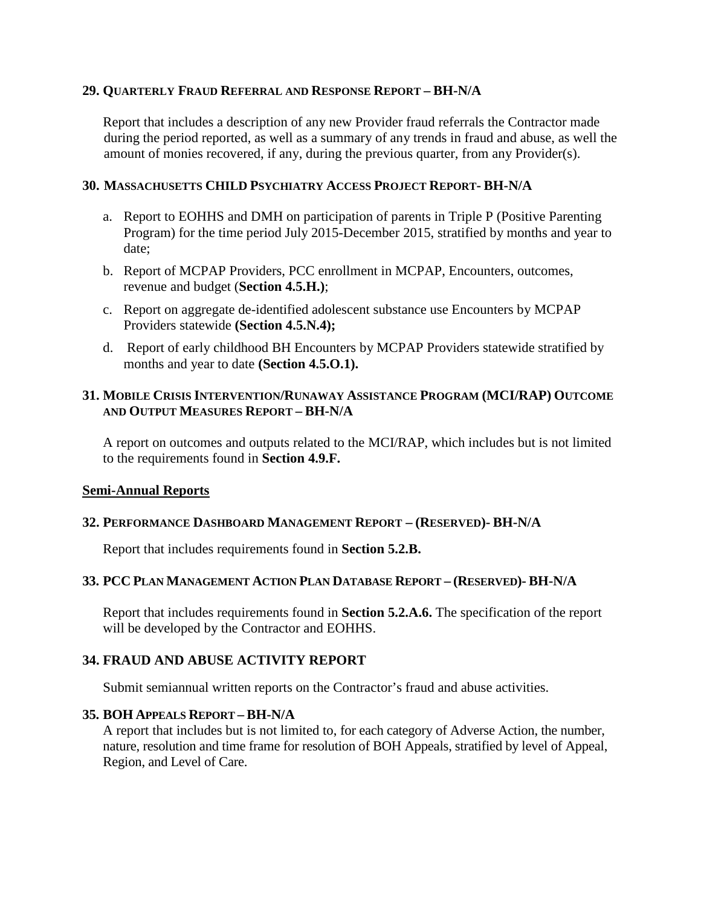#### **29. QUARTERLY FRAUD REFERRAL AND RESPONSE REPORT – BH-N/A**

Report that includes a description of any new Provider fraud referrals the Contractor made during the period reported, as well as a summary of any trends in fraud and abuse, as well the amount of monies recovered, if any, during the previous quarter, from any Provider(s).

### **30. MASSACHUSETTS CHILD PSYCHIATRY ACCESS PROJECT REPORT- BH-N/A**

- a. Report to EOHHS and DMH on participation of parents in Triple P (Positive Parenting Program) for the time period July 2015-December 2015, stratified by months and year to date;
- b. Report of MCPAP Providers, PCC enrollment in MCPAP, Encounters, outcomes, revenue and budget (**Section 4.5.H.)**;
- c. Report on aggregate de-identified adolescent substance use Encounters by MCPAP Providers statewide **(Section 4.5.N.4);**
- d. Report of early childhood BH Encounters by MCPAP Providers statewide stratified by months and year to date **(Section 4.5.O.1).**

# **31. MOBILE CRISIS INTERVENTION/RUNAWAY ASSISTANCE PROGRAM (MCI/RAP) OUTCOME AND OUTPUT MEASURES REPORT – BH-N/A**

A report on outcomes and outputs related to the MCI/RAP, which includes but is not limited to the requirements found in **Section 4.9.F.**

### **Semi-Annual Reports**

### **32. PERFORMANCE DASHBOARD MANAGEMENT REPORT – (RESERVED)- BH-N/A**

Report that includes requirements found in **Section 5.2.B.**

#### **33. PCC PLAN MANAGEMENT ACTION PLAN DATABASE REPORT – (RESERVED)- BH-N/A**

Report that includes requirements found in **Section 5.2.A.6.** The specification of the report will be developed by the Contractor and EOHHS.

### **34. FRAUD AND ABUSE ACTIVITY REPORT**

Submit semiannual written reports on the Contractor's fraud and abuse activities.

#### **35. BOH APPEALS REPORT – BH-N/A**

A report that includes but is not limited to, for each category of Adverse Action, the number, nature, resolution and time frame for resolution of BOH Appeals, stratified by level of Appeal, Region, and Level of Care.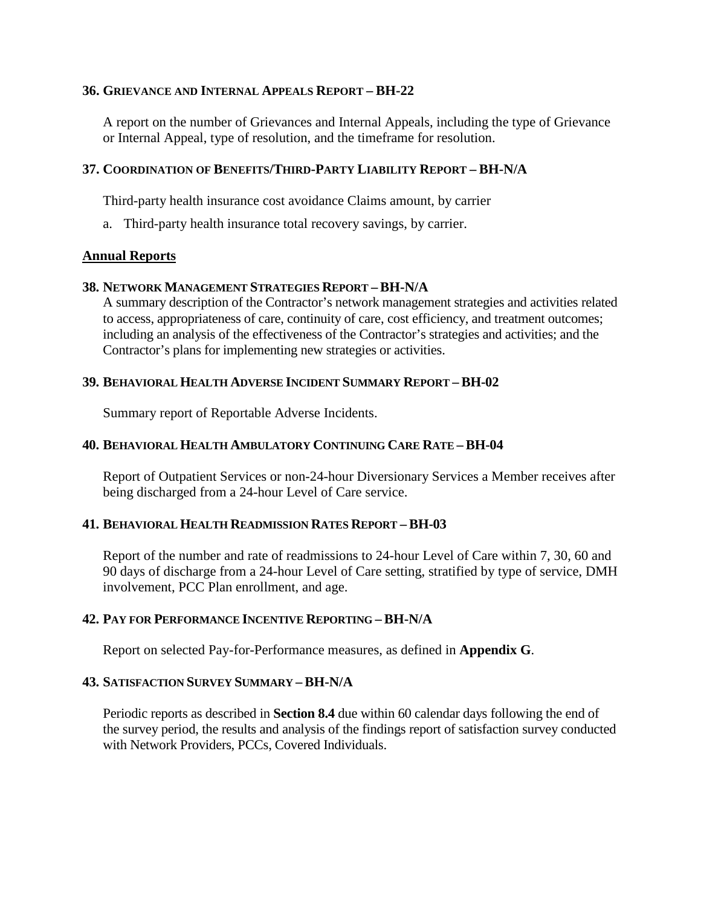#### **36. GRIEVANCE AND INTERNAL APPEALS REPORT – BH-22**

A report on the number of Grievances and Internal Appeals, including the type of Grievance or Internal Appeal, type of resolution, and the timeframe for resolution.

### **37. COORDINATION OF BENEFITS/THIRD-PARTY LIABILITY REPORT – BH-N/A**

Third-party health insurance cost avoidance Claims amount, by carrier

a. Third-party health insurance total recovery savings, by carrier.

#### **Annual Reports**

#### **38. NETWORK MANAGEMENT STRATEGIES REPORT –BH-N/A**

A summary description of the Contractor's network management strategies and activities related to access, appropriateness of care, continuity of care, cost efficiency, and treatment outcomes; including an analysis of the effectiveness of the Contractor's strategies and activities; and the Contractor's plans for implementing new strategies or activities.

#### **39. BEHAVIORAL HEALTH ADVERSE INCIDENT SUMMARY REPORT – BH-02**

Summary report of Reportable Adverse Incidents.

#### **40. BEHAVIORAL HEALTH AMBULATORY CONTINUING CARE RATE – BH-04**

Report of Outpatient Services or non-24-hour Diversionary Services a Member receives after being discharged from a 24-hour Level of Care service.

#### **41. BEHAVIORAL HEALTH READMISSION RATES REPORT – BH-03**

Report of the number and rate of readmissions to 24-hour Level of Care within 7, 30, 60 and 90 days of discharge from a 24-hour Level of Care setting, stratified by type of service, DMH involvement, PCC Plan enrollment, and age.

#### **42. PAY FOR PERFORMANCE INCENTIVE REPORTING – BH-N/A**

Report on selected Pay-for-Performance measures, as defined in **Appendix G**.

#### **43. SATISFACTION SURVEY SUMMARY – BH-N/A**

Periodic reports as described in **Section 8.4** due within 60 calendar days following the end of the survey period, the results and analysis of the findings report of satisfaction survey conducted with Network Providers, PCCs, Covered Individuals.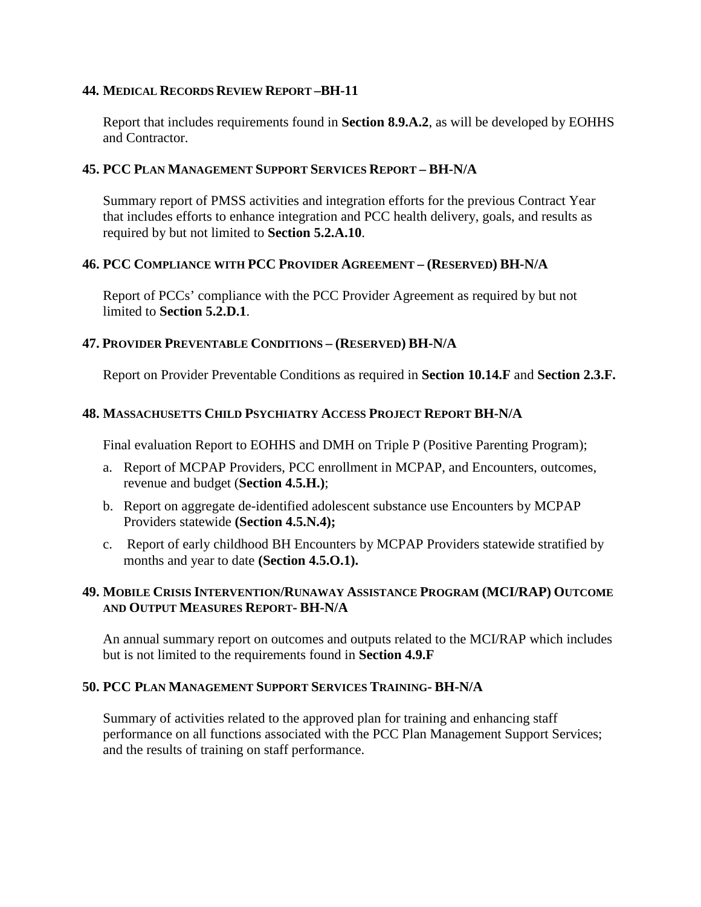### **44. MEDICAL RECORDS REVIEW REPORT –BH-11**

Report that includes requirements found in **Section 8.9.A.2**, as will be developed by EOHHS and Contractor.

## **45. PCC PLAN MANAGEMENT SUPPORT SERVICES REPORT – BH-N/A**

Summary report of PMSS activities and integration efforts for the previous Contract Year that includes efforts to enhance integration and PCC health delivery, goals, and results as required by but not limited to **Section 5.2.A.10**.

# **46. PCC COMPLIANCE WITH PCC PROVIDER AGREEMENT – (RESERVED) BH-N/A**

Report of PCCs' compliance with the PCC Provider Agreement as required by but not limited to **Section 5.2.D.1**.

# **47. PROVIDER PREVENTABLE CONDITIONS – (RESERVED) BH-N/A**

Report on Provider Preventable Conditions as required in **Section 10.14.F** and **Section 2.3.F.**

# **48. MASSACHUSETTS CHILD PSYCHIATRY ACCESS PROJECT REPORT BH-N/A**

Final evaluation Report to EOHHS and DMH on Triple P (Positive Parenting Program);

- a. Report of MCPAP Providers, PCC enrollment in MCPAP, and Encounters, outcomes, revenue and budget (**Section 4.5.H.)**;
- b. Report on aggregate de-identified adolescent substance use Encounters by MCPAP Providers statewide **(Section 4.5.N.4);**
- c. Report of early childhood BH Encounters by MCPAP Providers statewide stratified by months and year to date **(Section 4.5.O.1).**

# **49. MOBILE CRISIS INTERVENTION/RUNAWAY ASSISTANCE PROGRAM (MCI/RAP) OUTCOME AND OUTPUT MEASURES REPORT- BH-N/A**

An annual summary report on outcomes and outputs related to the MCI/RAP which includes but is not limited to the requirements found in **Section 4.9.F**

### **50. PCC PLAN MANAGEMENT SUPPORT SERVICES TRAINING- BH-N/A**

Summary of activities related to the approved plan for training and enhancing staff performance on all functions associated with the PCC Plan Management Support Services; and the results of training on staff performance.